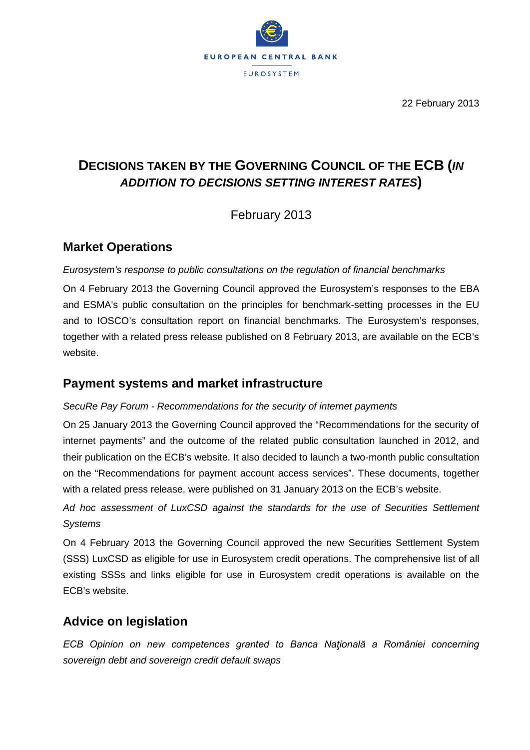

22 February 2013

# **DECISIONS TAKEN BY THE GOVERNING COUNCIL OF THE ECB (***IN ADDITION TO DECISIONS SETTING INTEREST RATES***)**

February 2013

## **Market Operations**

### *Eurosystem's response to public consultations on the regulation of financial benchmarks*

On 4 February 2013 the Governing Council approved the Eurosystem's responses to the EBA and ESMA's public consultation on the principles for benchmark-setting processes in the EU and to IOSCO's consultation report on financial benchmarks. The Eurosystem's responses, together with a related press release published on 8 February 2013, are available on the ECB's website.

## **Payment systems and market infrastructure**

### *SecuRe Pay Forum - Recommendations for the security of internet payments*

On 25 January 2013 the Governing Council approved the "Recommendations for the security of internet payments" and the outcome of the related public consultation launched in 2012, and their publication on the ECB's website. It also decided to launch a two-month public consultation on the "Recommendations for payment account access services". These documents, together with a related press release, were published on 31 January 2013 on the ECB's website.

*Ad hoc assessment of LuxCSD against the standards for the use of Securities Settlement Systems*

On 4 February 2013 the Governing Council approved the new Securities Settlement System (SSS) LuxCSD as eligible for use in Eurosystem credit operations. The comprehensive list of all existing SSSs and links eligible for use in Eurosystem credit operations is available on the ECB's website.

## **Advice on legislation**

*ECB Opinion on new competences granted to Banca Naţională a României concerning sovereign debt and sovereign credit default swaps*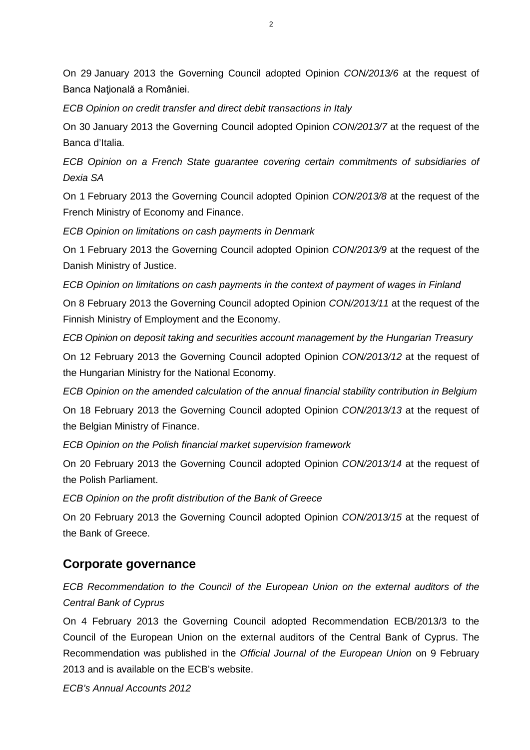On 29 January 2013 the Governing Council adopted Opinion *CON/2013/6* at the request of Banca Națională a României.

*ECB Opinion on credit transfer and direct debit transactions in Italy* 

On 30 January 2013 the Governing Council adopted Opinion *CON/2013/7* at the request of the Banca d'Italia.

*ECB Opinion on a French State guarantee covering certain commitments of subsidiaries of Dexia SA* 

On 1 February 2013 the Governing Council adopted Opinion *CON/2013/8* at the request of the French Ministry of Economy and Finance.

*ECB Opinion on limitations on cash payments in Denmark* 

On 1 February 2013 the Governing Council adopted Opinion *CON/2013/9* at the request of the Danish Ministry of Justice.

*ECB Opinion on limitations on cash payments in the context of payment of wages in Finland* 

On 8 February 2013 the Governing Council adopted Opinion *CON/2013/11* at the request of the Finnish Ministry of Employment and the Economy.

*ECB Opinion on deposit taking and securities account management by the Hungarian Treasury* 

On 12 February 2013 the Governing Council adopted Opinion *CON/2013/12* at the request of the Hungarian Ministry for the National Economy.

*ECB Opinion on the amended calculation of the annual financial stability contribution in Belgium* On 18 February 2013 the Governing Council adopted Opinion *CON/2013/13* at the request of the Belgian Ministry of Finance.

*ECB Opinion on the Polish financial market supervision framework* 

On 20 February 2013 the Governing Council adopted Opinion *CON/2013/14* at the request of the Polish Parliament.

*ECB Opinion on the profit distribution of the Bank of Greece*

On 20 February 2013 the Governing Council adopted Opinion *CON/2013/15* at the request of the Bank of Greece.

## **Corporate governance**

*ECB Recommendation to the Council of the European Union on the external auditors of the Central Bank of Cyprus*

On 4 February 2013 the Governing Council adopted Recommendation ECB/2013/3 to the Council of the European Union on the external auditors of the Central Bank of Cyprus. The Recommendation was published in the *Official Journal of the European Union* on 9 February 2013 and is available on the ECB's website.

*ECB's Annual Accounts 2012*